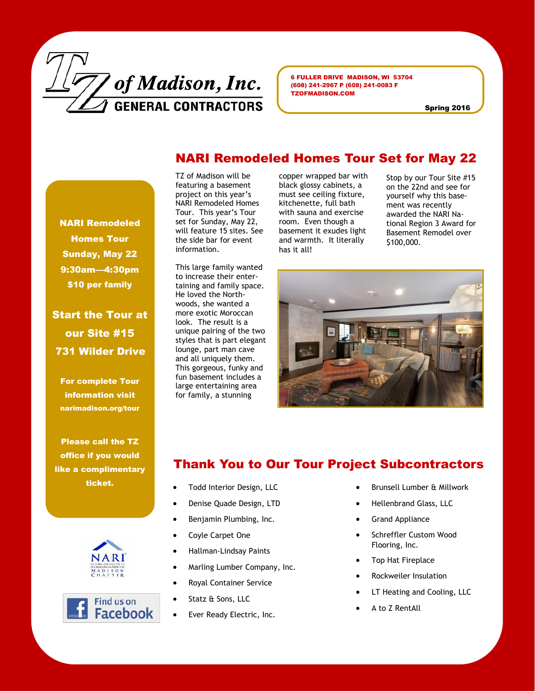

6 FULLER DRIVE MADISON, WI 53704 (608) 241-2967 P (608) 241-0083 F TZOFMADISON.COM

Spring 2016

### NARI Remodeled Homes Tour Set for May 22

TZ of Madison will be featuring a basement project on this year's NARI Remodeled Homes Tour. This year's Tour set for Sunday, May 22, will feature 15 sites. See the side bar for event information.

This large family wanted to increase their entertaining and family space. He loved the Northwoods, she wanted a more exotic Moroccan look. The result is a unique pairing of the two styles that is part elegant lounge, part man cave and all uniquely them. This gorgeous, funky and fun basement includes a large entertaining area for family, a stunning

copper wrapped bar with black glossy cabinets, a must see ceiling fixture, kitchenette, full bath with sauna and exercise room. Even though a basement it exudes light and warmth. It literally has it all!

Stop by our Tour Site #15 on the 22nd and see for yourself why this basement was recently awarded the NARI National Region 3 Award for Basement Remodel over \$100,000.



#### For complete Tour information visit narimadison.org/tour

Please call the TZ office if you would like a complimentary ticket.

NARI Remodeled Homes Tour Sunday, May 22 9:30am—4:30pm \$10 per family

Start the Tour at

our Site #15

731 Wilder Drive





## Thank You to Our Tour Project Subcontractors

- Todd Interior Design, LLC
- Denise Quade Design, LTD
- Benjamin Plumbing, Inc.
- Coyle Carpet One
- Hallman-Lindsay Paints
- Marling Lumber Company, Inc.
- Royal Container Service
- Statz & Sons, LLC
- Ever Ready Electric, Inc.
- Brunsell Lumber & Millwork
- Hellenbrand Glass, LLC
- Grand Appliance
- Schreffler Custom Wood Flooring, Inc.
- Top Hat Fireplace
- Rockweiler Insulation
- LT Heating and Cooling, LLC
- A to Z RentAll